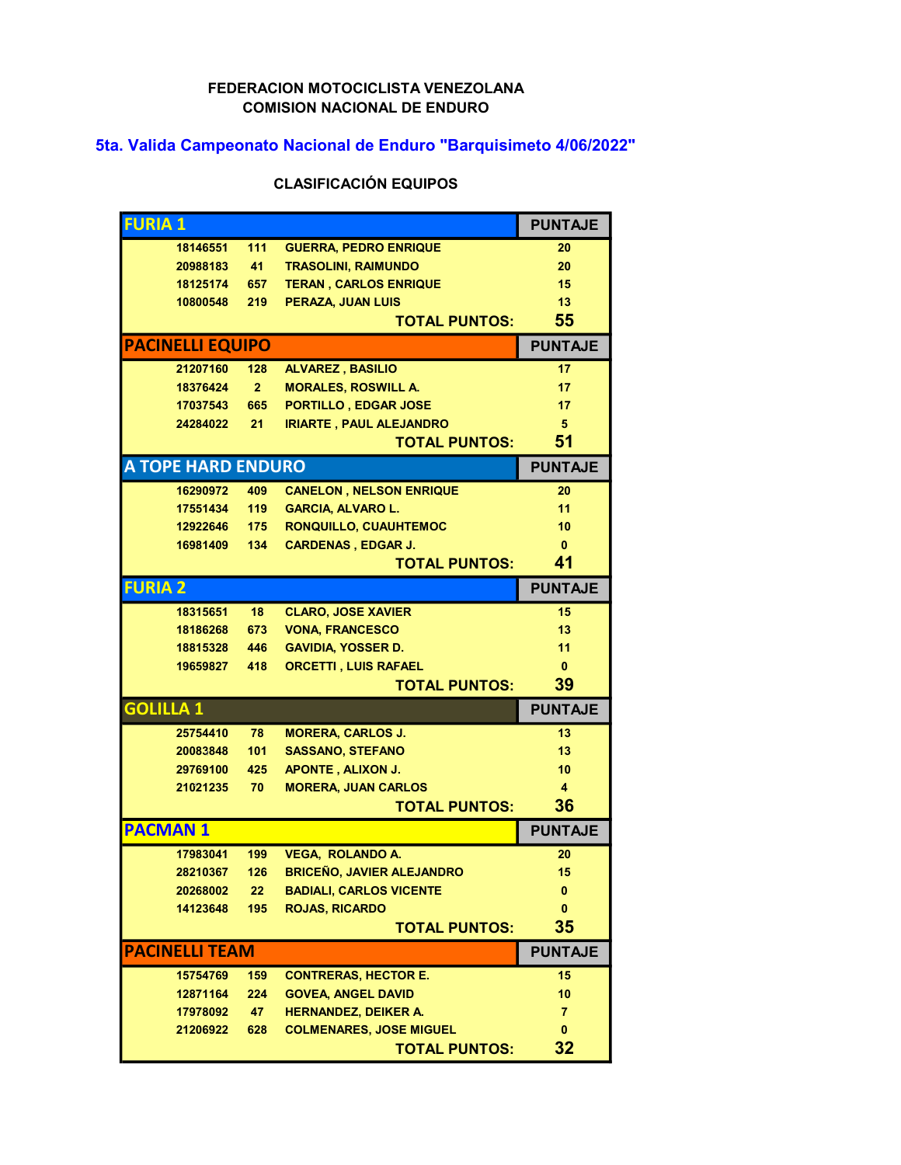## FEDERACION MOTOCICLISTA VENEZOLANA COMISION NACIONAL DE ENDURO

## 5ta. Valida Campeonato Nacional de Enduro "Barquisimeto 4/06/2022"

## CLASIFICACIÓN EQUIPOS

| <b>FURIA1</b>         |                           |                 |                                  | <b>PUNTAJE</b> |
|-----------------------|---------------------------|-----------------|----------------------------------|----------------|
|                       | 18146551                  | 111             | <b>GUERRA, PEDRO ENRIQUE</b>     | 20             |
|                       | 20988183                  | 41              | <b>TRASOLINI, RAIMUNDO</b>       | 20             |
|                       | 18125174                  | 657             | <b>TERAN, CARLOS ENRIQUE</b>     | 15             |
|                       | 10800548                  | 219             | <b>PERAZA, JUAN LUIS</b>         | 13             |
|                       |                           |                 | <b>TOTAL PUNTOS:</b>             | 55             |
|                       | <b>PACINELLI EQUIPO</b>   |                 |                                  | <b>PUNTAJE</b> |
|                       | 21207160                  | 128             | <b>ALVAREZ, BASILIO</b>          | 17             |
|                       | 18376424                  | $\overline{2}$  | <b>MORALES, ROSWILL A.</b>       | 17             |
|                       | 17037543                  | 665             | PORTILLO, EDGAR JOSE             | 17             |
|                       | 24284022                  | 21              | <b>IRIARTE, PAUL ALEJANDRO</b>   | 5              |
|                       |                           |                 | <b>TOTAL PUNTOS:</b>             | 51             |
|                       | <b>A TOPE HARD ENDURO</b> |                 |                                  | <b>PUNTAJE</b> |
|                       | 16290972                  | 409             | <b>CANELON, NELSON ENRIQUE</b>   | 20             |
|                       | 17551434                  | 119             | <b>GARCIA, ALVARO L.</b>         | 11             |
|                       | 12922646                  | 175             | <b>RONQUILLO, CUAUHTEMOC</b>     | 10             |
|                       | 16981409                  | 134             | <b>CARDENAS, EDGAR J.</b>        | $\mathbf{0}$   |
|                       |                           |                 | <b>TOTAL PUNTOS:</b>             | 41             |
| <b>FURIA 2</b>        |                           |                 |                                  | <b>PUNTAJE</b> |
|                       | 18315651                  | 18 <sup>2</sup> | <b>CLARO, JOSE XAVIER</b>        | 15             |
|                       | 18186268                  | 673             | <b>VONA, FRANCESCO</b>           | 13             |
|                       | 18815328                  | 446             | <b>GAVIDIA, YOSSER D.</b>        | 11             |
|                       | 19659827                  | 418             | <b>ORCETTI, LUIS RAFAEL</b>      | $\mathbf{0}$   |
|                       |                           |                 | <b>TOTAL PUNTOS:</b>             | 39             |
| <b>GOLILLA 1</b>      |                           |                 |                                  | <b>PUNTAJE</b> |
|                       | 25754410                  | 78              | <b>MORERA, CARLOS J.</b>         | 13             |
|                       | 20083848                  | 101             | <b>SASSANO, STEFANO</b>          | 13             |
|                       | 29769100                  | 425             | <b>APONTE, ALIXON J.</b>         | 10             |
|                       | 21021235                  | 70              | <b>MORERA, JUAN CARLOS</b>       | 4              |
|                       |                           |                 | <b>TOTAL PUNTOS:</b>             | 36             |
| <b>PACMAN1</b>        |                           |                 |                                  | <b>PUNTAJE</b> |
|                       | 17983041                  | 199             | <b>VEGA, ROLANDO A.</b>          | 20             |
|                       | 28210367                  | 126             | <b>BRICEÑO, JAVIER ALEJANDRO</b> | 15             |
|                       | 20268002                  | 22              | <b>BADIALI, CARLOS VICENTE</b>   | 0              |
|                       | 14123648                  | 195             | <b>ROJAS, RICARDO</b>            | $\mathbf{0}$   |
|                       |                           |                 | <b>TOTAL PUNTOS:</b>             | 35             |
| <b>PACINELLI TEAM</b> | <b>PUNTAJE</b>            |                 |                                  |                |
|                       | 15754769                  | 159             | <b>CONTRERAS, HECTOR E.</b>      | 15             |
|                       | 12871164                  | 224             | <b>GOVEA, ANGEL DAVID</b>        | 10             |
|                       | 17978092                  | 47              | <b>HERNANDEZ, DEIKER A.</b>      | 7              |
|                       | 21206922                  | 628             | <b>COLMENARES, JOSE MIGUEL</b>   | 0              |
|                       |                           |                 | <b>TOTAL PUNTOS:</b>             | 32             |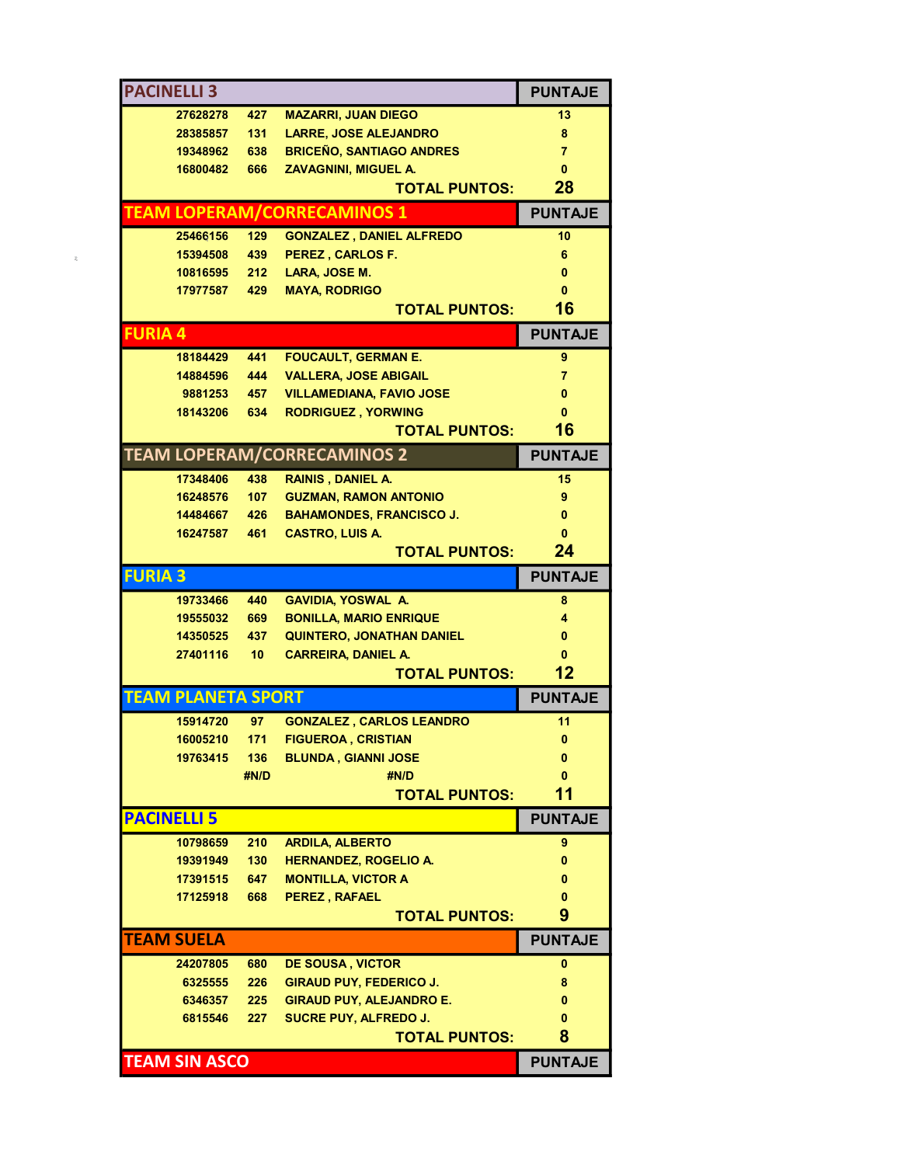| <b>PACINELLI 3</b>        |                 |                                    | <b>PUNTAJE</b>  |
|---------------------------|-----------------|------------------------------------|-----------------|
| 27628278                  | 427             | <b>MAZARRI, JUAN DIEGO</b>         | 13              |
| 28385857                  | 131             | <b>LARRE, JOSE ALEJANDRO</b>       | 8               |
| 19348962                  | 638             | <b>BRICEÑO, SANTIAGO ANDRES</b>    | $\overline{7}$  |
| 16800482                  | 666             | <b>ZAVAGNINI, MIGUEL A.</b>        | $\mathbf{0}$    |
|                           |                 | <b>TOTAL PUNTOS:</b>               | 28              |
|                           |                 | <b>TEAM LOPERAM/CORRECAMINOS 1</b> | <b>PUNTAJE</b>  |
| 25466156                  | 129             | <b>GONZALEZ, DANIEL ALFREDO</b>    | 10 <sup>1</sup> |
| 15394508                  | 439             | <b>PEREZ, CARLOS F.</b>            | 6               |
| 10816595                  |                 | 212 LARA, JOSE M.                  | $\bf{0}$        |
| 17977587                  | 429             | <b>MAYA, RODRIGO</b>               | 0               |
|                           |                 | <b>TOTAL PUNTOS:</b>               | 16              |
| <b>FURIA 4</b>            |                 |                                    | <b>PUNTAJE</b>  |
| 18184429                  | 441             | <b>FOUCAULT, GERMAN E.</b>         | 9               |
| 14884596                  | 444             | <b>VALLERA, JOSE ABIGAIL</b>       | $\overline{7}$  |
| 9881253                   | 457             | <b>VILLAMEDIANA, FAVIO JOSE</b>    | $\bf{0}$        |
| 18143206                  | 634             | <b>RODRIGUEZ, YORWING</b>          | $\mathbf{0}$    |
|                           |                 | <b>TOTAL PUNTOS:</b>               | 16              |
|                           |                 | <b>TEAM LOPERAM/CORRECAMINOS 2</b> | <b>PUNTAJE</b>  |
| 17348406                  | 438             | <b>RAINIS, DANIEL A.</b>           | 15              |
| 16248576                  |                 | 107 GUZMAN, RAMON ANTONIO          | 9               |
| 14484667                  | 426             | <b>BAHAMONDES, FRANCISCO J.</b>    | $\mathbf{0}$    |
| 16247587                  | 461             | <b>CASTRO, LUIS A.</b>             | $\mathbf{0}$    |
|                           |                 | <b>TOTAL PUNTOS:</b>               | 24              |
| <b>FURIA 3</b>            |                 |                                    | <b>PUNTAJE</b>  |
| 19733466                  | 440             | <b>GAVIDIA, YOSWAL A.</b>          | 8               |
| 19555032                  | 669             | <b>BONILLA, MARIO ENRIQUE</b>      | 4               |
| 14350525                  | 437             | <b>QUINTERO, JONATHAN DANIEL</b>   | $\bf{0}$        |
| 27401116                  | 10 <sub>1</sub> | <b>CARREIRA, DANIEL A.</b>         | $\mathbf{0}$    |
|                           |                 | <b>TOTAL PUNTOS:</b>               | 12              |
| <b>TEAM PLANETA SPORT</b> |                 |                                    | <b>PUNTAJE</b>  |
| 15914720                  | 97              | <b>GONZALEZ, CARLOS LEANDRO</b>    | 11              |
|                           |                 | 16005210 171 FIGUEROA, CRISTIAN    | $\mathbf{0}$    |
| 19763415                  | 136             | <b>BLUNDA, GIANNI JOSE</b>         | 0               |
|                           | #N/D            | #N/D                               | $\mathbf{0}$    |
|                           |                 | <b>TOTAL PUNTOS:</b>               | 11              |
| <b>PACINELLI 5</b>        |                 |                                    | <b>PUNTAJE</b>  |
| 10798659                  | 210             | <b>ARDILA, ALBERTO</b>             | 9               |
| 19391949                  | 130             | <b>HERNANDEZ, ROGELIO A.</b>       | 0               |
| 17391515                  | 647             | <b>MONTILLA, VICTOR A</b>          | 0               |
| 17125918                  | 668             | PEREZ, RAFAEL                      | 0               |
|                           |                 | <b>TOTAL PUNTOS:</b>               | 9               |
| <b>TEAM SUELA</b>         |                 |                                    | <b>PUNTAJE</b>  |
| 24207805                  | 680             | <b>DE SOUSA, VICTOR</b>            | 0               |
| 6325555                   | 226             | <b>GIRAUD PUY, FEDERICO J.</b>     | 8               |
| 6346357                   | 225             | <b>GIRAUD PUY, ALEJANDRO E.</b>    | 0               |
| 6815546                   | 227             | <b>SUCRE PUY, ALFREDO J.</b>       | 0               |
|                           |                 | <b>TOTAL PUNTOS:</b>               | 8               |
| <b>TEAM SIN ASCO</b>      |                 |                                    | <b>PUNTAJE</b>  |
|                           |                 |                                    |                 |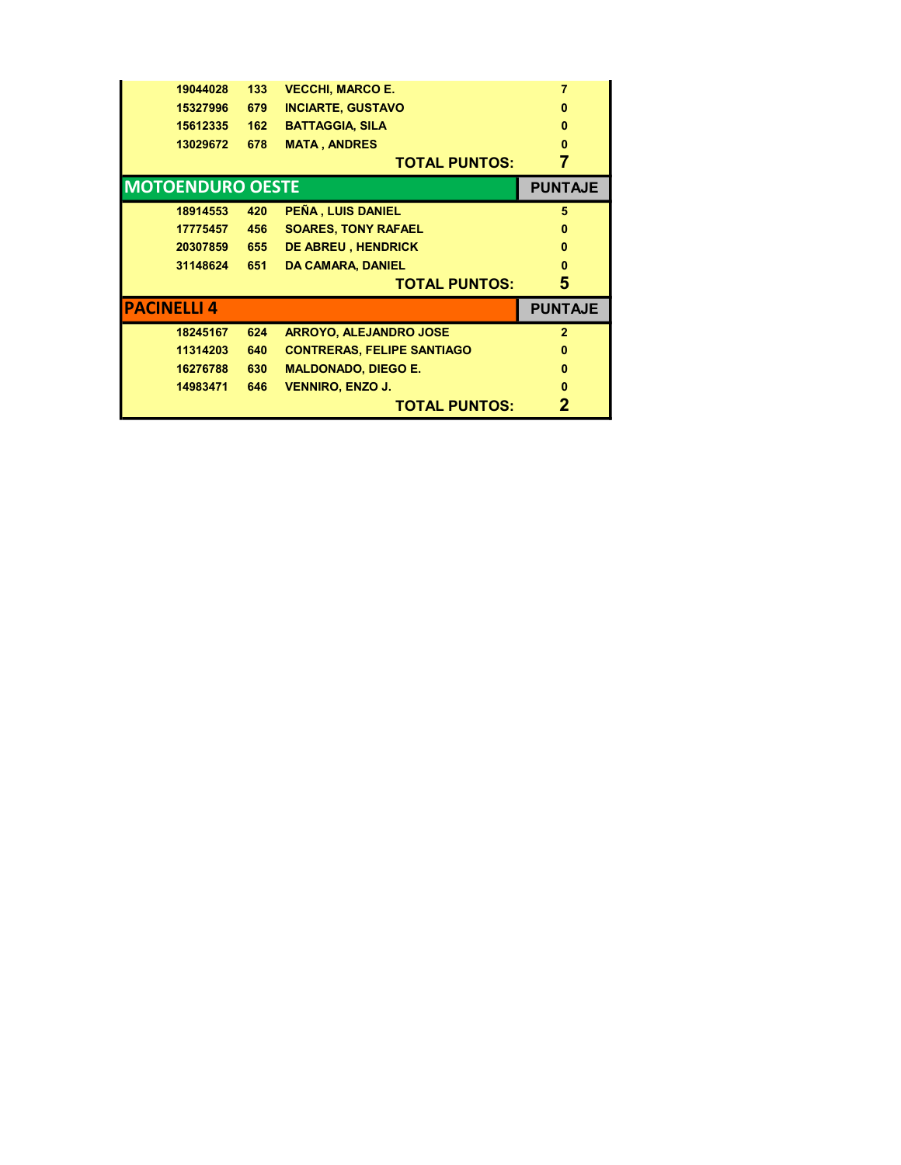| 19044028 | 133                | <b>VECCHI, MARCO E.</b>           |                         |
|----------|--------------------|-----------------------------------|-------------------------|
| 15327996 | 679                | <b>INCIARTE, GUSTAVO</b>          | $\bf{0}$                |
| 15612335 | 162                | <b>BATTAGGIA, SILA</b>            | $\bf{0}$                |
| 13029672 | 678                | <b>MATA, ANDRES</b>               | 0                       |
|          |                    | <b>TOTAL PUNTOS:</b>              |                         |
|          |                    |                                   | <b>PUNTAJE</b>          |
| 18914553 | 420                | PEÑA, LUIS DANIEL                 | 5                       |
| 17775457 | 456                | <b>SOARES, TONY RAFAEL</b>        | 0                       |
| 20307859 | 655                | <b>DE ABREU, HENDRICK</b>         | $\bf{0}$                |
| 31148624 | 651                | <b>DA CAMARA, DANIEL</b>          | n                       |
|          |                    | <b>TOTAL PUNTOS:</b>              | 5                       |
|          |                    |                                   | <b>PUNTAJE</b>          |
| 18245167 | 624                | <b>ARROYO, ALEJANDRO JOSE</b>     | $\overline{2}$          |
| 11314203 | 640                | <b>CONTRERAS, FELIPE SANTIAGO</b> | $\mathbf{0}$            |
| 16276788 | 630                | <b>MALDONADO, DIEGO E.</b>        | $\mathbf{0}$            |
| 14983471 | 646                | <b>VENNIRO, ENZO J.</b>           | n                       |
|          |                    |                                   |                         |
|          | <b>PACINELLI 4</b> |                                   | <b>MOTOENDURO OESTE</b> |